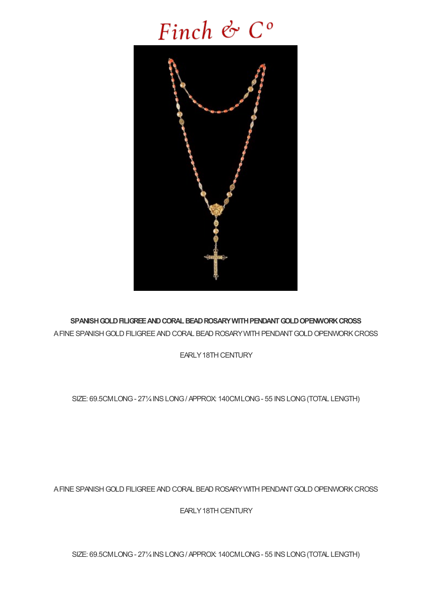## Finch & C°



SPANISH GOLD FILIGREE AND CORAL BEAD ROSARY WITH PENDANT GOLD OPENWORK CROSS A FINE SPANISH GOLD FILIGREE AND CORAL BEAD ROSARY WITH PENDANT GOLD OPENWORK CROSS

EARLY18TH CENTURY

SIZE: 69.5CMLONG- 27¼INSLONG/ APPROX: 140CMLONG- 55 INSLONG(TOTAL LENGTH)

A FINE SPANISH GOLD FILIGREE AND CORAL BEAD ROSARY WITH PENDANT GOLD OPENWORK CROSS

EARLY 18TH CENTURY

SIZE: 69.5CMLONG- 27¼INSLONG/ APPROX: 140CMLONG- 55 INSLONG(TOTAL LENGTH)